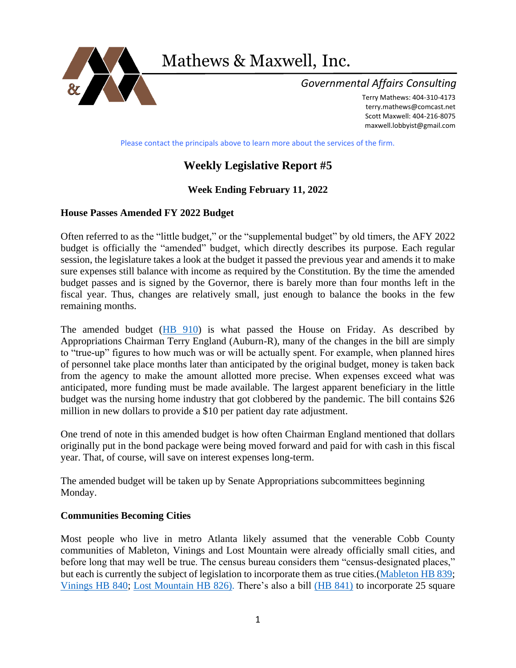

Mathews & Maxwell, Inc.

## *Governmental Affairs Consulting*

Terry Mathews: 404-310-4173 [terry.mathews@comcast.net](mailto:terry.mathews@comcast.net) Scott Maxwell: 404-216-8075 maxwell.lobbyist@gmail.com

Please contact the principals above to learn more about the services of the firm.

# **Weekly Legislative Report #5**

## **Week Ending February 11, 2022**

## **House Passes Amended FY 2022 Budget**

Often referred to as the "little budget," or the "supplemental budget" by old timers, the AFY 2022 budget is officially the "amended" budget, which directly describes its purpose. Each regular session, the legislature takes a look at the budget it passed the previous year and amends it to make sure expenses still balance with income as required by the Constitution. By the time the amended budget passes and is signed by the Governor, there is barely more than four months left in the fiscal year. Thus, changes are relatively small, just enough to balance the books in the few remaining months.

The amended budget [\(HB 910\)](https://www.legis.ga.gov/legislation/61135) is what passed the House on Friday. As described by Appropriations Chairman Terry England (Auburn-R), many of the changes in the bill are simply to "true-up" figures to how much was or will be actually spent. For example, when planned hires of personnel take place months later than anticipated by the original budget, money is taken back from the agency to make the amount allotted more precise. When expenses exceed what was anticipated, more funding must be made available. The largest apparent beneficiary in the little budget was the nursing home industry that got clobbered by the pandemic. The bill contains \$26 million in new dollars to provide a \$10 per patient day rate adjustment.

One trend of note in this amended budget is how often Chairman England mentioned that dollars originally put in the bond package were being moved forward and paid for with cash in this fiscal year. That, of course, will save on interest expenses long-term.

The amended budget will be taken up by Senate Appropriations subcommittees beginning Monday.

### **Communities Becoming Cities**

Most people who live in metro Atlanta likely assumed that the venerable Cobb County communities of Mableton, Vinings and Lost Mountain were already officially small cities, and before long that may well be true. The census bureau considers them "census-designated places," but each is currently the subject of legislation to incorporate them as true cities.[\(Mableton HB 839;](https://www.legis.ga.gov/legislation/60802) [Vinings HB 840;](https://www.legis.ga.gov/legislation/60810) [Lost Mountain HB 826\).](https://www.legis.ga.gov/legislation/60746) There's also a bill [\(HB 841\)](file:///C:/Users/scottmaxwell/Documents/(HB%20841)) to incorporate 25 square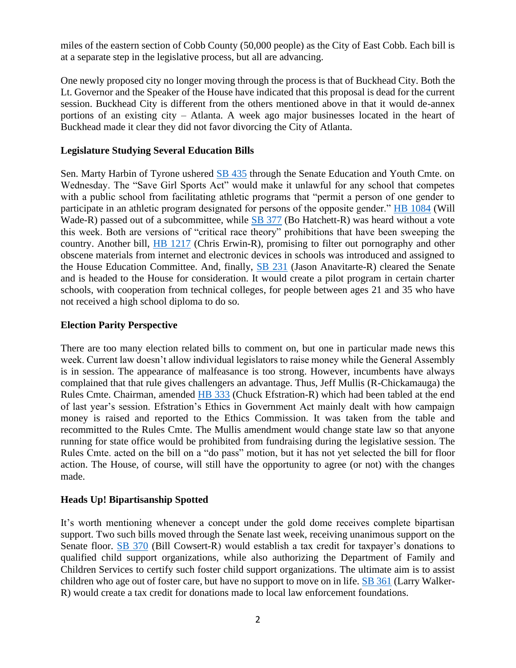miles of the eastern section of Cobb County (50,000 people) as the City of East Cobb. Each bill is at a separate step in the legislative process, but all are advancing.

One newly proposed city no longer moving through the process is that of Buckhead City. Both the Lt. Governor and the Speaker of the House have indicated that this proposal is dead for the current session. Buckhead City is different from the others mentioned above in that it would de-annex portions of an existing city – Atlanta. A week ago major businesses located in the heart of Buckhead made it clear they did not favor divorcing the City of Atlanta.

### **Legislature Studying Several Education Bills**

Sen. Marty Harbin of Tyrone ushered **SB 435** through the Senate Education and Youth Cmte. on Wednesday. The "Save Girl Sports Act" would make it unlawful for any school that competes with a public school from facilitating athletic programs that "permit a person of one gender to participate in an athletic program designated for persons of the opposite gender." [HB 1084](https://www.legis.ga.gov/legislation/61477) (Will Wade-R) passed out of a subcommittee, while [SB 377](https://www.legis.ga.gov/legislation/61345) (Bo Hatchett-R) was heard without a vote this week. Both are versions of "critical race theory" prohibitions that have been sweeping the country. Another bill, [HB 1217](https://www.legis.ga.gov/legislation/61773) (Chris Erwin-R), promising to filter out pornography and other obscene materials from internet and electronic devices in schools was introduced and assigned to the House Education Committee. And, finally, [SB 231](https://www.legis.ga.gov/legislation/59962) (Jason Anavitarte-R) cleared the Senate and is headed to the House for consideration. It would create a pilot program in certain charter schools, with cooperation from technical colleges, for people between ages 21 and 35 who have not received a high school diploma to do so.

### **Election Parity Perspective**

There are too many election related bills to comment on, but one in particular made news this week. Current law doesn't allow individual legislators to raise money while the General Assembly is in session. The appearance of malfeasance is too strong. However, incumbents have always complained that that rule gives challengers an advantage. Thus, Jeff Mullis (R-Chickamauga) the Rules Cmte. Chairman, amended [HB 333](https://www.legis.ga.gov/legislation/59399) (Chuck Efstration-R) which had been tabled at the end of last year's session. Efstration's Ethics in Government Act mainly dealt with how campaign money is raised and reported to the Ethics Commission. It was taken from the table and recommitted to the Rules Cmte. The Mullis amendment would change state law so that anyone running for state office would be prohibited from fundraising during the legislative session. The Rules Cmte. acted on the bill on a "do pass" motion, but it has not yet selected the bill for floor action. The House, of course, will still have the opportunity to agree (or not) with the changes made.

### **Heads Up! Bipartisanship Spotted**

It's worth mentioning whenever a concept under the gold dome receives complete bipartisan support. Two such bills moved through the Senate last week, receiving unanimous support on the Senate floor. [SB 370](https://www.legis.ga.gov/legislation/61301) (Bill Cowsert-R) would establish a tax credit for taxpayer's donations to qualified child support organizations, while also authorizing the Department of Family and Children Services to certify such foster child support organizations. The ultimate aim is to assist children who age out of foster care, but have no support to move on in life. [SB 361](https://www.legis.ga.gov/legislation/61292) (Larry Walker-R) would create a tax credit for donations made to local law enforcement foundations.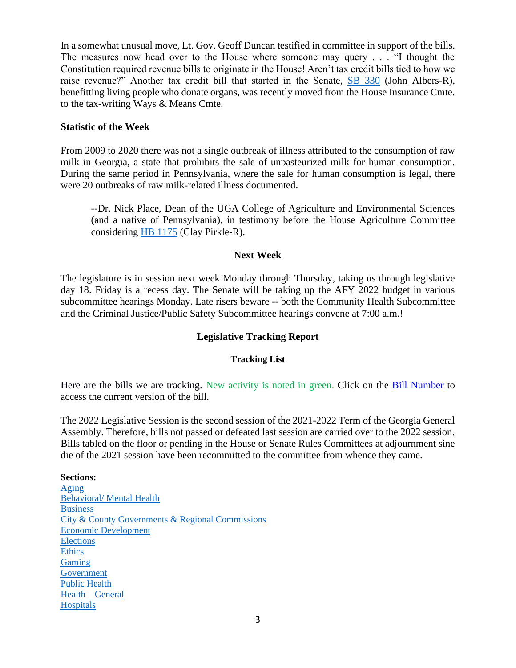In a somewhat unusual move, Lt. Gov. Geoff Duncan testified in committee in support of the bills. The measures now head over to the House where someone may query . . . "I thought the Constitution required revenue bills to originate in the House! Aren't tax credit bills tied to how we raise revenue?" Another tax credit bill that started in the Senate, [SB 330](https://www.legis.ga.gov/legislation/61078) (John Albers-R), benefitting living people who donate organs, was recently moved from the House Insurance Cmte. to the tax-writing Ways & Means Cmte.

### **Statistic of the Week**

From 2009 to 2020 there was not a single outbreak of illness attributed to the consumption of raw milk in Georgia, a state that prohibits the sale of unpasteurized milk for human consumption. During the same period in Pennsylvania, where the sale for human consumption is legal, there were 20 outbreaks of raw milk-related illness documented.

--Dr. Nick Place, Dean of the UGA College of Agriculture and Environmental Sciences (and a native of Pennsylvania), in testimony before the House Agriculture Committee considering [HB 1175](https://www.legis.ga.gov/legislation/61674) (Clay Pirkle-R).

### **Next Week**

The legislature is in session next week Monday through Thursday, taking us through legislative day 18. Friday is a recess day. The Senate will be taking up the AFY 2022 budget in various subcommittee hearings Monday. Late risers beware -- both the Community Health Subcommittee and the Criminal Justice/Public Safety Subcommittee hearings convene at 7:00 a.m.!

### **Legislative Tracking Report**

### **Tracking List**

Here are the bills we are tracking. New activity is noted in green. Click on the Bill Number to access the current version of the bill.

The 2022 Legislative Session is the second session of the 2021-2022 Term of the Georgia General Assembly. Therefore, bills not passed or defeated last session are carried over to the 2022 session. Bills tabled on the floor or pending in the House or Senate Rules Committees at adjournment sine die of the 2021 session have been recommitted to the committee from whence they came.

#### **Sections:**

[Aging](#page-3-0) [Behavioral/ Mental Health](#page-3-1) **[Business](#page-4-0)** [City & County Governments & Regional Commissions](#page-4-1) [Economic Development](#page-6-0) [Elections](#page-7-0) [Ethics](#page-12-0) [Gaming](#page-12-1) [Government](#page-14-0) [Public Health](#page-14-1) [Health –](#page-16-0) General **[Hospitals](#page-16-1)**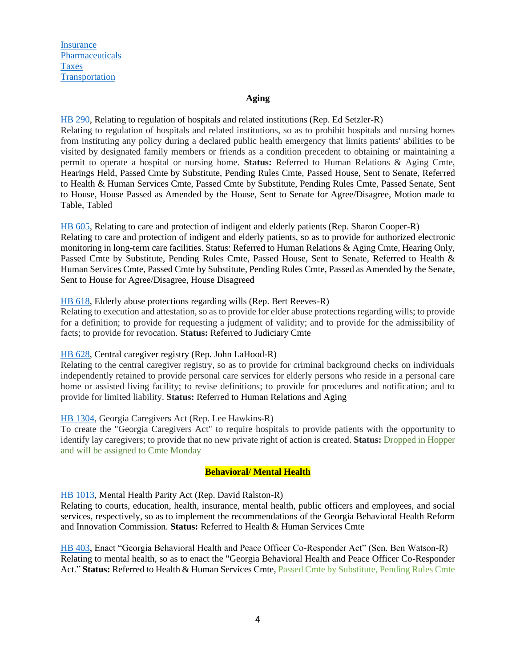**[Insurance](#page-17-0)** [Pharmaceuticals](#page-18-0) [Taxes](#page-19-0) [Transportation](#page-21-0)

#### **Aging**

<span id="page-3-0"></span>[HB 290,](https://www.legis.ga.gov/legislation/59302) Relating to regulation of hospitals and related institutions (Rep. Ed Setzler-R) Relating to regulation of hospitals and related institutions, so as to prohibit hospitals and nursing homes from instituting any policy during a declared public health emergency that limits patients' abilities to be visited by designated family members or friends as a condition precedent to obtaining or maintaining a permit to operate a hospital or nursing home. **Status:** Referred to Human Relations & Aging Cmte, Hearings Held, Passed Cmte by Substitute, Pending Rules Cmte, Passed House, Sent to Senate, Referred to Health & Human Services Cmte, Passed Cmte by Substitute, Pending Rules Cmte, Passed Senate, Sent to House, House Passed as Amended by the House, Sent to Senate for Agree/Disagree, Motion made to

Table, Tabled

[HB 605,](https://www.legis.ga.gov/legislation/59980) Relating to care and protection of indigent and elderly patients (Rep. Sharon Cooper-R) Relating to care and protection of indigent and elderly patients, so as to provide for authorized electronic monitoring in long-term care facilities. Status: Referred to Human Relations & Aging Cmte, Hearing Only, Passed Cmte by Substitute, Pending Rules Cmte, Passed House, Sent to Senate, Referred to Health & Human Services Cmte, Passed Cmte by Substitute, Pending Rules Cmte, Passed as Amended by the Senate, Sent to House for Agree/Disagree, House Disagreed

#### [HB 618,](https://www.legis.ga.gov/legislation/60017) Elderly abuse protections regarding wills (Rep. Bert Reeves-R)

Relating to execution and attestation, so as to provide for elder abuse protections regarding wills; to provide for a definition; to provide for requesting a judgment of validity; and to provide for the admissibility of facts; to provide for revocation. **Status:** Referred to Judiciary Cmte

#### [HB 628,](https://www.legis.ga.gov/legislation/60030) Central caregiver registry (Rep. John LaHood-R)

Relating to the central caregiver registry, so as to provide for criminal background checks on individuals independently retained to provide personal care services for elderly persons who reside in a personal care home or assisted living facility; to revise definitions; to provide for procedures and notification; and to provide for limited liability. **Status:** Referred to Human Relations and Aging

#### [HB 1304,](https://www.legis.ga.gov/legislation/61970) Georgia Caregivers Act (Rep. Lee Hawkins-R)

To create the "Georgia Caregivers Act" to require hospitals to provide patients with the opportunity to identify lay caregivers; to provide that no new private right of action is created. **Status:** Dropped in Hopper and will be assigned to Cmte Monday

#### **Behavioral/ Mental Health**

#### <span id="page-3-1"></span>[HB 1013,](https://www.legis.ga.gov/legislation/61365) Mental Health Parity Act (Rep. David Ralston-R)

Relating to courts, education, health, insurance, mental health, public officers and employees, and social services, respectively, so as to implement the recommendations of the Georgia Behavioral Health Reform and Innovation Commission. **Status:** Referred to Health & Human Services Cmte

[HB 403,](https://www.legis.ga.gov/legislation/61506) Enact "Georgia Behavioral Health and Peace Officer Co-Responder Act" (Sen. Ben Watson-R) Relating to mental health, so as to enact the "Georgia Behavioral Health and Peace Officer Co-Responder Act." **Status:** Referred to Health & Human Services Cmte, Passed Cmte by Substitute, Pending Rules Cmte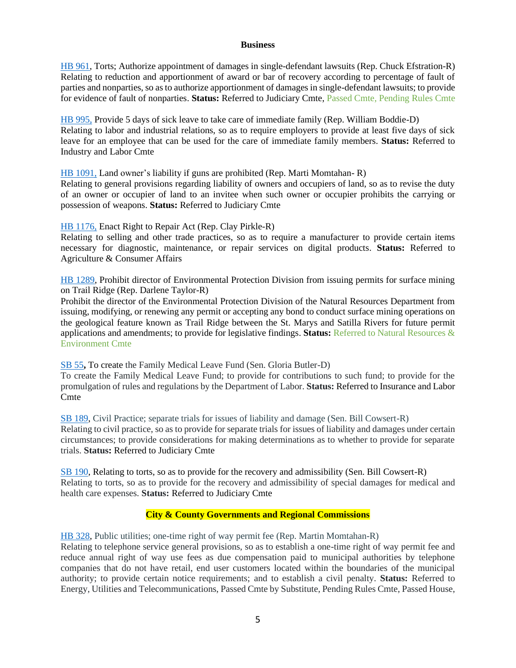#### **Business**

<span id="page-4-0"></span>[HB 961,](https://www.legis.ga.gov/legislation/61237) Torts; Authorize appointment of damages in single-defendant lawsuits (Rep. Chuck Efstration-R) Relating to reduction and apportionment of award or bar of recovery according to percentage of fault of parties and nonparties, so as to authorize apportionment of damages in single-defendant lawsuits; to provide for evidence of fault of nonparties. **Status:** Referred to Judiciary Cmte, Passed Cmte, Pending Rules Cmte

[HB 995,](https://www.legis.ga.gov/legislation/61325) Provide 5 days of sick leave to take care of immediate family (Rep. William Boddie-D) Relating to labor and industrial relations, so as to require employers to provide at least five days of sick leave for an employee that can be used for the care of immediate family members. **Status:** Referred to Industry and Labor Cmte

[HB 1091,](https://www.legis.ga.gov/legislation/61484) Land owner's liability if guns are prohibited (Rep. Marti Momtahan- R)

Relating to general provisions regarding liability of owners and occupiers of land, so as to revise the duty of an owner or occupier of land to an invitee when such owner or occupier prohibits the carrying or possession of weapons. **Status:** Referred to Judiciary Cmte

[HB 1176,](https://www.legis.ga.gov/legislation/61675) Enact Right to Repair Act (Rep. Clay Pirkle-R)

Relating to selling and other trade practices, so as to require a manufacturer to provide certain items necessary for diagnostic, maintenance, or repair services on digital products. **Status:** Referred to Agriculture & Consumer Affairs

[HB 1289,](https://www.legis.ga.gov/legislation/61907) Prohibit director of Environmental Protection Division from issuing permits for surface mining on Trail Ridge (Rep. Darlene Taylor-R)

Prohibit the director of the Environmental Protection Division of the Natural Resources Department from issuing, modifying, or renewing any permit or accepting any bond to conduct surface mining operations on the geological feature known as Trail Ridge between the St. Marys and Satilla Rivers for future permit applications and amendments; to provide for legislative findings. **Status:** Referred to Natural Resources & Environment Cmte

[SB 55](https://www.legis.ga.gov/legislation/59162)**,** To create the Family Medical Leave Fund (Sen. Gloria Butler-D)

To create the Family Medical Leave Fund; to provide for contributions to such fund; to provide for the promulgation of rules and regulations by the Department of Labor. **Status:** Referred to Insurance and Labor Cmte

[SB 189,](https://www.legis.ga.gov/legislation/59716) Civil Practice; separate trials for issues of liability and damage (Sen. Bill Cowsert-R) Relating to civil practice, so as to provide for separate trials for issues of liability and damages under certain circumstances; to provide considerations for making determinations as to whether to provide for separate trials. **Status:** Referred to Judiciary Cmte

[SB 190,](https://www.legis.ga.gov/legislation/59713) Relating to torts, so as to provide for the recovery and admissibility (Sen. Bill Cowsert-R) Relating to torts, so as to provide for the recovery and admissibility of special damages for medical and health care expenses. **Status:** Referred to Judiciary Cmte

#### **City & County Governments and Regional Commissions**

<span id="page-4-1"></span>[HB 328,](https://www.legis.ga.gov/legislation/59393) Public utilities; one-time right of way permit fee (Rep. Martin Momtahan-R)

Relating to telephone service general provisions, so as to establish a one-time right of way permit fee and reduce annual right of way use fees as due compensation paid to municipal authorities by telephone companies that do not have retail, end user customers located within the boundaries of the municipal authority; to provide certain notice requirements; and to establish a civil penalty. **Status:** Referred to Energy, Utilities and Telecommunications, Passed Cmte by Substitute, Pending Rules Cmte, Passed House,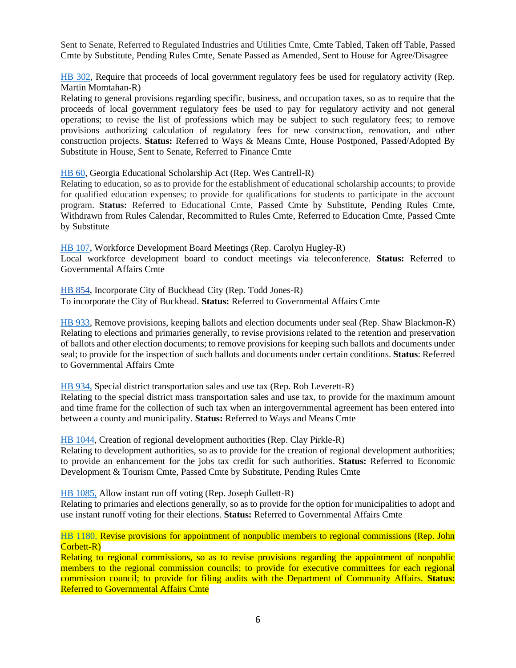Sent to Senate, Referred to Regulated Industries and Utilities Cmte, Cmte Tabled, Taken off Table, Passed Cmte by Substitute, Pending Rules Cmte, Senate Passed as Amended, Sent to House for Agree/Disagree

[HB 302,](https://www.legis.ga.gov/legislation/59342) Require that proceeds of local government regulatory fees be used for regulatory activity (Rep. Martin Momtahan-R)

Relating to general provisions regarding specific, business, and occupation taxes, so as to require that the proceeds of local government regulatory fees be used to pay for regulatory activity and not general operations; to revise the list of professions which may be subject to such regulatory fees; to remove provisions authorizing calculation of regulatory fees for new construction, renovation, and other construction projects. **Status:** Referred to Ways & Means Cmte, House Postponed, Passed/Adopted By Substitute in House, Sent to Senate, Referred to Finance Cmte

[HB 60,](https://www.legis.ga.gov/legislation/58867) Georgia Educational Scholarship Act (Rep. Wes Cantrell-R)

Relating to education, so as to provide for the establishment of educational scholarship accounts; to provide for qualified education expenses; to provide for qualifications for students to participate in the account program. **Status:** Referred to Educational Cmte, Passed Cmte by Substitute, Pending Rules Cmte, Withdrawn from Rules Calendar, Recommitted to Rules Cmte, Referred to Education Cmte, Passed Cmte by Substitute

[HB 107,](https://www.legis.ga.gov/legislation/58954) Workforce Development Board Meetings (Rep. Carolyn Hugley-R) Local workforce development board to conduct meetings via teleconference. **Status:** Referred to Governmental Affairs Cmte

[HB 854,](https://www.legis.ga.gov/legislation/60883) Incorporate City of Buckhead City (Rep. Todd Jones-R) To incorporate the City of Buckhead. **Status:** Referred to Governmental Affairs Cmte

[HB 933,](https://www.legis.ga.gov/legislation/61169) Remove provisions, keeping ballots and election documents under seal (Rep. Shaw Blackmon-R) Relating to elections and primaries generally, to revise provisions related to the retention and preservation of ballots and other election documents; to remove provisions for keeping such ballots and documents under seal; to provide for the inspection of such ballots and documents under certain conditions. **Status**: Referred to Governmental Affairs Cmte

[HB 934,](https://www.legis.ga.gov/legislation/61170) Special district transportation sales and use tax (Rep. Rob Leverett-R)

Relating to the special district mass transportation sales and use tax, to provide for the maximum amount and time frame for the collection of such tax when an intergovernmental agreement has been entered into between a county and municipality. **Status:** Referred to Ways and Means Cmte

[HB 1044,](https://www.legis.ga.gov/legislation/61395) Creation of regional development authorities (Rep. Clay Pirkle-R)

Relating to development authorities, so as to provide for the creation of regional development authorities; to provide an enhancement for the jobs tax credit for such authorities. **Status:** Referred to Economic Development & Tourism Cmte, Passed Cmte by Substitute, Pending Rules Cmte

[HB 1085,](https://www.legis.ga.gov/legislation/61478) Allow instant run off voting (Rep. Joseph Gullett-R)

Relating to primaries and elections generally, so as to provide for the option for municipalities to adopt and use instant runoff voting for their elections. **Status:** Referred to Governmental Affairs Cmte

[HB 1180,](https://www.legis.ga.gov/legislation/61679) Revise provisions for appointment of nonpublic members to regional commissions (Rep. John Corbett-R)

Relating to regional commissions, so as to revise provisions regarding the appointment of nonpublic members to the regional commission councils; to provide for executive committees for each regional commission council; to provide for filing audits with the Department of Community Affairs. **Status:**  Referred to Governmental Affairs Cmte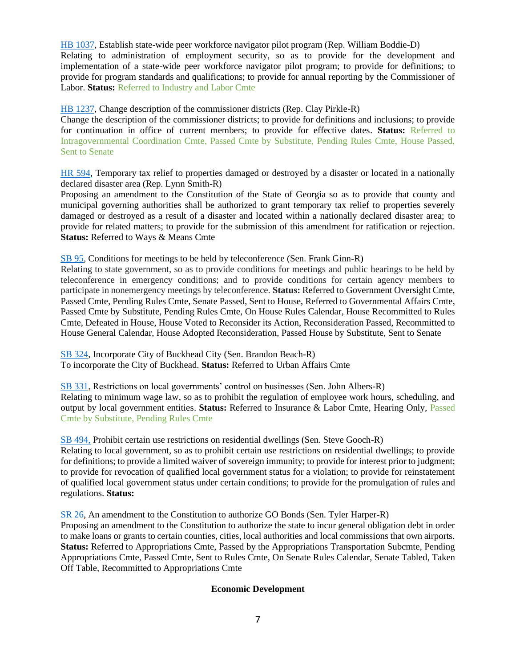[HB 1037,](https://www.legis.ga.gov/legislation/61388) Establish state-wide peer workforce navigator pilot program (Rep. William Boddie-D) Relating to administration of employment security, so as to provide for the development and implementation of a state-wide peer workforce navigator pilot program; to provide for definitions; to provide for program standards and qualifications; to provide for annual reporting by the Commissioner of Labor. **Status:** Referred to Industry and Labor Cmte

[HB 1237,](https://www.legis.ga.gov/legislation/61831) Change description of the commissioner districts (Rep. Clay Pirkle-R)

Change the description of the commissioner districts; to provide for definitions and inclusions; to provide for continuation in office of current members; to provide for effective dates. **Status:** Referred to Intragovernmental Coordination Cmte, Passed Cmte by Substitute, Pending Rules Cmte, House Passed, Sent to Senate

[HR 594,](https://www.legis.ga.gov/legislation/61258) Temporary tax relief to properties damaged or destroyed by a disaster or located in a nationally declared disaster area (Rep. Lynn Smith-R)

Proposing an amendment to the Constitution of the State of Georgia so as to provide that county and municipal governing authorities shall be authorized to grant temporary tax relief to properties severely damaged or destroyed as a result of a disaster and located within a nationally declared disaster area; to provide for related matters; to provide for the submission of this amendment for ratification or rejection. **Status:** Referred to Ways & Means Cmte

[SB 95,](https://www.legis.ga.gov/legislation/59336) Conditions for meetings to be held by teleconference (Sen. Frank Ginn-R)

Relating to state government, so as to provide conditions for meetings and public hearings to be held by teleconference in emergency conditions; and to provide conditions for certain agency members to participate in nonemergency meetings by teleconference. **Status:** Referred to Government Oversight Cmte, Passed Cmte, Pending Rules Cmte, Senate Passed, Sent to House, Referred to Governmental Affairs Cmte, Passed Cmte by Substitute, Pending Rules Cmte, On House Rules Calendar, House Recommitted to Rules Cmte, Defeated in House, House Voted to Reconsider its Action, Reconsideration Passed, Recommitted to House General Calendar, House Adopted Reconsideration, Passed House by Substitute, Sent to Senate

[SB 324,](https://www.legis.ga.gov/legislation/60999) Incorporate City of Buckhead City (Sen. Brandon Beach-R) To incorporate the City of Buckhead. **Status:** Referred to Urban Affairs Cmte

[SB 331,](https://www.legis.ga.gov/legislation/61082) Restrictions on local governments' control on businesses (Sen. John Albers-R) Relating to minimum wage law, so as to prohibit the regulation of employee work hours, scheduling, and output by local government entities. **Status:** Referred to Insurance & Labor Cmte, Hearing Only, Passed Cmte by Substitute, Pending Rules Cmte

[SB 494,](https://www.legis.ga.gov/legislation/62020) Prohibit certain use restrictions on residential dwellings (Sen. Steve Gooch-R)

Relating to local government, so as to prohibit certain use restrictions on residential dwellings; to provide for definitions; to provide a limited waiver of sovereign immunity; to provide for interest prior to judgment; to provide for revocation of qualified local government status for a violation; to provide for reinstatement of qualified local government status under certain conditions; to provide for the promulgation of rules and regulations. **Status:**

<span id="page-6-0"></span>[SR 26,](https://www.legis.ga.gov/legislation/59033) An amendment to the Constitution to authorize GO Bonds (Sen. Tyler Harper-R)

Proposing an amendment to the Constitution to authorize the state to incur general obligation debt in order to make loans or grants to certain counties, cities, local authorities and local commissions that own airports. **Status:** Referred to Appropriations Cmte, Passed by the Appropriations Transportation Subcmte, Pending Appropriations Cmte, Passed Cmte, Sent to Rules Cmte, On Senate Rules Calendar, Senate Tabled, Taken Off Table, Recommitted to Appropriations Cmte

### **Economic Development**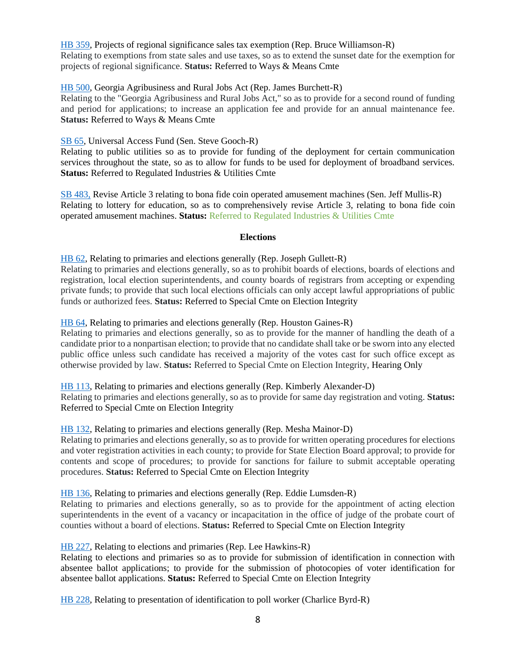[HB 359,](https://www.legis.ga.gov/legislation/59459) Projects of regional significance sales tax exemption (Rep. Bruce Williamson-R) Relating to exemptions from state sales and use taxes, so as to extend the sunset date for the exemption for projects of regional significance. **Status:** Referred to Ways & Means Cmte

### [HB 500,](https://www.legis.ga.gov/legislation/59780) Georgia Agribusiness and Rural Jobs Act (Rep. James Burchett-R)

Relating to the "Georgia Agribusiness and Rural Jobs Act," so as to provide for a second round of funding and period for applications; to increase an application fee and provide for an annual maintenance fee. **Status:** Referred to Ways & Means Cmte

### [SB 65,](https://www.legis.ga.gov/legislation/59217) Universal Access Fund (Sen. Steve Gooch-R)

Relating to public utilities so as to provide for funding of the deployment for certain communication services throughout the state, so as to allow for funds to be used for deployment of broadband services. **Status:** Referred to Regulated Industries & Utilities Cmte

[SB 483,](https://www.legis.ga.gov/legislation/61949) Revise Article 3 relating to bona fide coin operated amusement machines (Sen. Jeff Mullis-R) Relating to lottery for education, so as to comprehensively revise Article 3, relating to bona fide coin operated amusement machines. **Status:** Referred to Regulated Industries & Utilities Cmte

#### **Elections**

<span id="page-7-0"></span>[HB 62,](https://www.legis.ga.gov/legislation/58875) Relating to primaries and elections generally (Rep. Joseph Gullett-R) Relating to primaries and elections generally, so as to prohibit boards of elections, boards of elections and registration, local election superintendents, and county boards of registrars from accepting or expending private funds; to provide that such local elections officials can only accept lawful appropriations of public funds or authorized fees. **Status:** Referred to Special Cmte on Election Integrity

### [HB 64,](https://www.legis.ga.gov/legislation/58877) Relating to primaries and elections generally (Rep. Houston Gaines-R)

Relating to primaries and elections generally, so as to provide for the manner of handling the death of a candidate prior to a nonpartisan election; to provide that no candidate shall take or be sworn into any elected public office unless such candidate has received a majority of the votes cast for such office except as otherwise provided by law. **Status:** Referred to Special Cmte on Election Integrity, Hearing Only

#### [HB 113,](https://www.legis.ga.gov/legislation/58960) Relating to primaries and elections generally (Rep. Kimberly Alexander-D)

Relating to primaries and elections generally, so as to provide for same day registration and voting. **Status:** Referred to Special Cmte on Election Integrity

#### [HB 132,](https://www.legis.ga.gov/legislation/59002) Relating to primaries and elections generally (Rep. Mesha Mainor-D)

Relating to primaries and elections generally, so as to provide for written operating procedures for elections and voter registration activities in each county; to provide for State Election Board approval; to provide for contents and scope of procedures; to provide for sanctions for failure to submit acceptable operating procedures. **Status:** Referred to Special Cmte on Election Integrity

### [HB 136,](https://www.legis.ga.gov/legislation/59007) Relating to primaries and elections generally (Rep. Eddie Lumsden-R)

Relating to primaries and elections generally, so as to provide for the appointment of acting election superintendents in the event of a vacancy or incapacitation in the office of judge of the probate court of counties without a board of elections. **Status:** Referred to Special Cmte on Election Integrity

### [HB 227,](https://www.legis.ga.gov/legislation/59191) Relating to elections and primaries (Rep. Lee Hawkins-R)

Relating to elections and primaries so as to provide for submission of identification in connection with absentee ballot applications; to provide for the submission of photocopies of voter identification for absentee ballot applications. **Status:** Referred to Special Cmte on Election Integrity

[HB 228,](https://www.legis.ga.gov/legislation/59192) Relating to presentation of identification to poll worker (Charlice Byrd-R)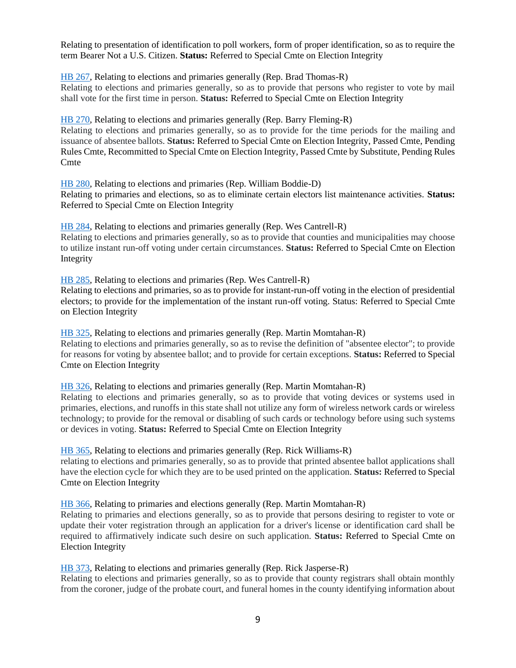Relating to presentation of identification to poll workers, form of proper identification, so as to require the term Bearer Not a U.S. Citizen. **Status:** Referred to Special Cmte on Election Integrity

[HB 267,](https://www.legis.ga.gov/legislation/59267) Relating to elections and primaries generally (Rep. Brad Thomas-R)

Relating to elections and primaries generally, so as to provide that persons who register to vote by mail shall vote for the first time in person. **Status:** Referred to Special Cmte on Election Integrity

[HB 270,](https://www.legis.ga.gov/legislation/59276) Relating to elections and primaries generally (Rep. Barry Fleming-R)

Relating to elections and primaries generally, so as to provide for the time periods for the mailing and issuance of absentee ballots. **Status:** Referred to Special Cmte on Election Integrity, Passed Cmte, Pending Rules Cmte, Recommitted to Special Cmte on Election Integrity, Passed Cmte by Substitute, Pending Rules **Cmte** 

[HB 280,](https://www.legis.ga.gov/legislation/59290) Relating to elections and primaries (Rep. William Boddie-D)

Relating to primaries and elections, so as to eliminate certain electors list maintenance activities. **Status:** Referred to Special Cmte on Election Integrity

[HB 284,](https://www.legis.ga.gov/legislation/59294) Relating to elections and primaries generally (Rep. Wes Cantrell-R) Relating to elections and primaries generally, so as to provide that counties and municipalities may choose to utilize instant run-off voting under certain circumstances. **Status:** Referred to Special Cmte on Election Integrity

[HB 285,](https://www.legis.ga.gov/legislation/59295) Relating to elections and primaries (Rep. Wes Cantrell-R)

Relating to elections and primaries, so as to provide for instant-run-off voting in the election of presidential electors; to provide for the implementation of the instant run-off voting. Status: Referred to Special Cmte on Election Integrity

[HB 325,](https://www.legis.ga.gov/legislation/59390) Relating to elections and primaries generally (Rep. Martin Momtahan-R) Relating to elections and primaries generally, so as to revise the definition of "absentee elector"; to provide for reasons for voting by absentee ballot; and to provide for certain exceptions. **Status:** Referred to Special Cmte on Election Integrity

[HB 326,](https://www.legis.ga.gov/legislation/59391) Relating to elections and primaries generally (Rep. Martin Momtahan-R)

Relating to elections and primaries generally, so as to provide that voting devices or systems used in primaries, elections, and runoffs in this state shall not utilize any form of wireless network cards or wireless technology; to provide for the removal or disabling of such cards or technology before using such systems or devices in voting. **Status:** Referred to Special Cmte on Election Integrity

[HB 365,](https://www.legis.ga.gov/legislation/59465) Relating to elections and primaries generally (Rep. Rick Williams-R)

relating to elections and primaries generally, so as to provide that printed absentee ballot applications shall have the election cycle for which they are to be used printed on the application. **Status:** Referred to Special Cmte on Election Integrity

[HB 366,](https://www.legis.ga.gov/legislation/59466) Relating to primaries and elections generally (Rep. Martin Momtahan-R)

Relating to primaries and elections generally, so as to provide that persons desiring to register to vote or update their voter registration through an application for a driver's license or identification card shall be required to affirmatively indicate such desire on such application. **Status:** Referred to Special Cmte on Election Integrity

[HB 373,](https://www.legis.ga.gov/legislation/59506) Relating to elections and primaries generally (Rep. Rick Jasperse-R)

Relating to elections and primaries generally, so as to provide that county registrars shall obtain monthly from the coroner, judge of the probate court, and funeral homes in the county identifying information about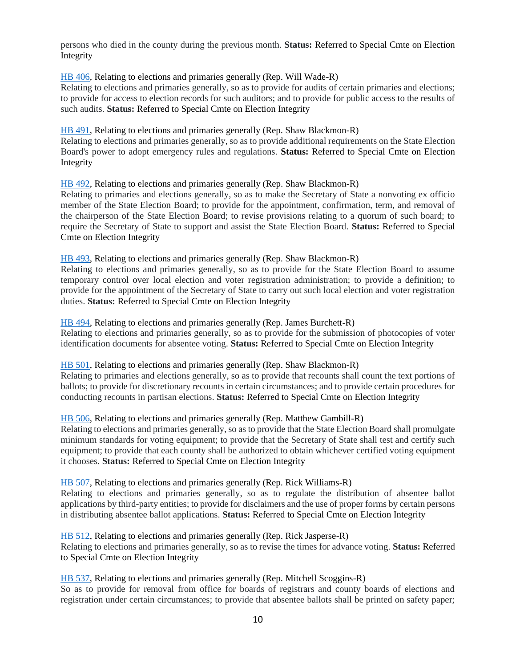persons who died in the county during the previous month. **Status:** Referred to Special Cmte on Election Integrity

[HB 406,](https://www.legis.ga.gov/legislation/59567) Relating to elections and primaries generally (Rep. Will Wade-R)

Relating to elections and primaries generally, so as to provide for audits of certain primaries and elections; to provide for access to election records for such auditors; and to provide for public access to the results of such audits. **Status:** Referred to Special Cmte on Election Integrity

[HB 491,](https://www.legis.ga.gov/legislation/59771) Relating to elections and primaries generally (Rep. Shaw Blackmon-R)

Relating to elections and primaries generally, so as to provide additional requirements on the State Election Board's power to adopt emergency rules and regulations. **Status:** Referred to Special Cmte on Election Integrity

[HB 492,](https://www.legis.ga.gov/legislation/59772) Relating to elections and primaries generally (Rep. Shaw Blackmon-R)

Relating to primaries and elections generally, so as to make the Secretary of State a nonvoting ex officio member of the State Election Board; to provide for the appointment, confirmation, term, and removal of the chairperson of the State Election Board; to revise provisions relating to a quorum of such board; to require the Secretary of State to support and assist the State Election Board. **Status:** Referred to Special Cmte on Election Integrity

[HB 493,](https://www.legis.ga.gov/legislation/59773) Relating to elections and primaries generally (Rep. Shaw Blackmon-R)

Relating to elections and primaries generally, so as to provide for the State Election Board to assume temporary control over local election and voter registration administration; to provide a definition; to provide for the appointment of the Secretary of State to carry out such local election and voter registration duties. **Status:** Referred to Special Cmte on Election Integrity

[HB 494,](https://www.legis.ga.gov/legislation/59774) Relating to elections and primaries generally (Rep. James Burchett-R) Relating to elections and primaries generally, so as to provide for the submission of photocopies of voter identification documents for absentee voting. **Status:** Referred to Special Cmte on Election Integrity

[HB 501,](https://www.legis.ga.gov/legislation/59781) Relating to elections and primaries generally (Rep. Shaw Blackmon-R)

Relating to primaries and elections generally, so as to provide that recounts shall count the text portions of ballots; to provide for discretionary recounts in certain circumstances; and to provide certain procedures for conducting recounts in partisan elections. **Status:** Referred to Special Cmte on Election Integrity

#### [HB 506,](https://www.legis.ga.gov/legislation/59800) Relating to elections and primaries generally (Rep. Matthew Gambill-R)

Relating to elections and primaries generally, so as to provide that the State Election Board shall promulgate minimum standards for voting equipment; to provide that the Secretary of State shall test and certify such equipment; to provide that each county shall be authorized to obtain whichever certified voting equipment it chooses. **Status:** Referred to Special Cmte on Election Integrity

[HB 507,](https://www.legis.ga.gov/legislation/59801) Relating to elections and primaries generally (Rep. Rick Williams-R)

Relating to elections and primaries generally, so as to regulate the distribution of absentee ballot applications by third-party entities; to provide for disclaimers and the use of proper forms by certain persons in distributing absentee ballot applications. **Status:** Referred to Special Cmte on Election Integrity

[HB 512,](https://www.legis.ga.gov/legislation/59806) Relating to elections and primaries generally (Rep. Rick Jasperse-R) Relating to elections and primaries generally, so as to revise the times for advance voting. **Status:** Referred to Special Cmte on Election Integrity

[HB 537,](https://www.legis.ga.gov/legislation/59837) Relating to elections and primaries generally (Rep. Mitchell Scoggins-R) So as to provide for removal from office for boards of registrars and county boards of elections and registration under certain circumstances; to provide that absentee ballots shall be printed on safety paper;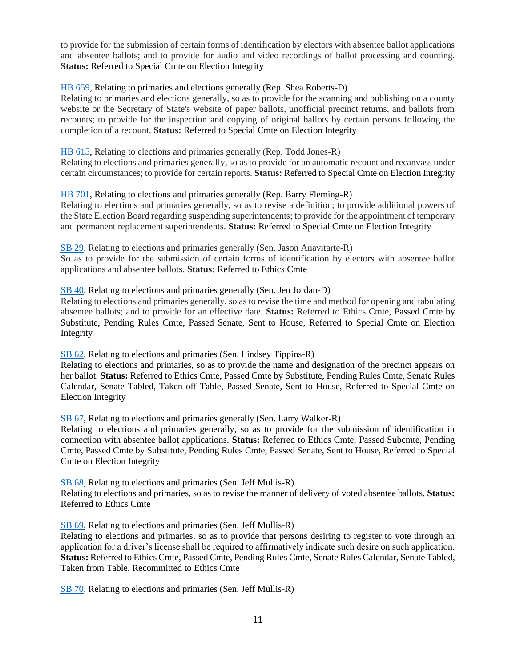to provide for the submission of certain forms of identification by electors with absentee ballot applications and absentee ballots; and to provide for audio and video recordings of ballot processing and counting. **Status: Referred to Special Cmte on Election Integrity** 

### [HB 659,](https://www.legis.ga.gov/legislation/60130) Relating to primaries and elections generally (Rep. Shea Roberts-D)

Relating to primaries and elections generally, so as to provide for the scanning and publishing on a county website or the Secretary of State's website of paper ballots, unofficial precinct returns, and ballots from recounts; to provide for the inspection and copying of original ballots by certain persons following the completion of a recount. **Status:** Referred to Special Cmte on Election Integrity

### [HB 615,](https://www.legis.ga.gov/legislation/59990) Relating to elections and primaries generally (Rep. Todd Jones-R)

Relating to elections and primaries generally, so as to provide for an automatic recount and recanvass under certain circumstances; to provide for certain reports. **Status:** Referred to Special Cmte on Election Integrity

### [HB 701,](https://www.legis.ga.gov/legislation/60229) Relating to elections and primaries generally (Rep. Barry Fleming-R)

Relating to elections and primaries generally, so as to revise a definition; to provide additional powers of the State Election Board regarding suspending superintendents; to provide for the appointment of temporary and permanent replacement superintendents. **Status:** Referred to Special Cmte on Election Integrity

[SB 29,](https://www.legis.ga.gov/legislation/59020) Relating to elections and primaries generally (Sen. Jason Anavitarte-R)

So as to provide for the submission of certain forms of identification by electors with absentee ballot applications and absentee ballots. **Status:** Referred to Ethics Cmte

#### [SB 40,](https://www.legis.ga.gov/legislation/59064) Relating to elections and primaries generally (Sen. Jen Jordan-D)

Relating to elections and primaries generally, so as to revise the time and method for opening and tabulating absentee ballots; and to provide for an effective date. **Status:** Referred to Ethics Cmte, Passed Cmte by Substitute, Pending Rules Cmte, Passed Senate, Sent to House, Referred to Special Cmte on Election Integrity

[SB 62,](https://www.legis.ga.gov/legislation/59208) Relating to elections and primaries (Sen. Lindsey Tippins-R)

Relating to elections and primaries, so as to provide the name and designation of the precinct appears on her ballot. **Status:** Referred to Ethics Cmte, Passed Cmte by Substitute, Pending Rules Cmte, Senate Rules Calendar, Senate Tabled, Taken off Table, Passed Senate, Sent to House, Referred to Special Cmte on Election Integrity

[SB 67,](https://www.legis.ga.gov/legislation/59216) Relating to elections and primaries generally (Sen. Larry Walker-R)

Relating to elections and primaries generally, so as to provide for the submission of identification in connection with absentee ballot applications. **Status:** Referred to Ethics Cmte, Passed Subcmte, Pending Cmte, Passed Cmte by Substitute, Pending Rules Cmte, Passed Senate, Sent to House, Referred to Special Cmte on Election Integrity

[SB 68,](https://www.legis.ga.gov/legislation/59219) Relating to elections and primaries (Sen. Jeff Mullis-R) Relating to elections and primaries, so as to revise the manner of delivery of voted absentee ballots. **Status:** Referred to Ethics Cmte

[SB 69,](https://www.legis.ga.gov/legislation/59221) Relating to elections and primaries (Sen. Jeff Mullis-R)

Relating to elections and primaries, so as to provide that persons desiring to register to vote through an application for a driver's license shall be required to affirmatively indicate such desire on such application. **Status:** Referred to Ethics Cmte, Passed Cmte, Pending Rules Cmte, Senate Rules Calendar, Senate Tabled, Taken from Table, Recommitted to Ethics Cmte

[SB 70,](https://www.legis.ga.gov/legislation/59220) Relating to elections and primaries (Sen. Jeff Mullis-R)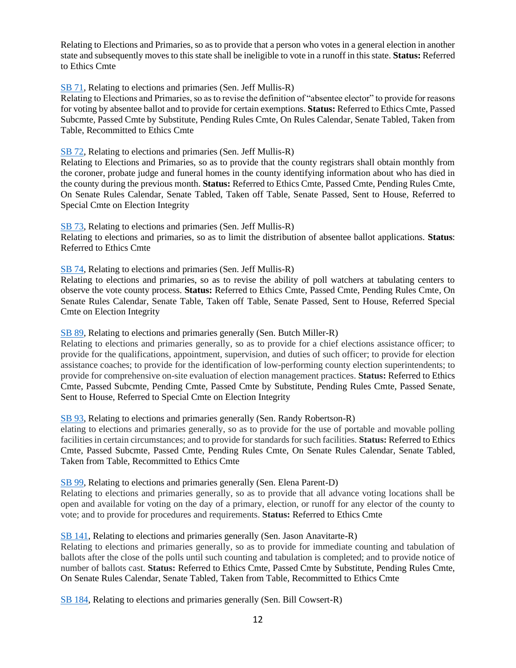Relating to Elections and Primaries, so as to provide that a person who votes in a general election in another state and subsequently moves to this state shall be ineligible to vote in a runoff in this state. **Status:** Referred to Ethics Cmte

#### [SB 71,](https://www.legis.ga.gov/legislation/59224) Relating to elections and primaries (Sen. Jeff Mullis-R)

Relating to Elections and Primaries, so as to revise the definition of "absentee elector" to provide for reasons for voting by absentee ballot and to provide for certain exemptions. **Status:** Referred to Ethics Cmte, Passed Subcmte, Passed Cmte by Substitute, Pending Rules Cmte, On Rules Calendar, Senate Tabled, Taken from Table, Recommitted to Ethics Cmte

#### [SB 72,](https://www.legis.ga.gov/legislation/59222) Relating to elections and primaries (Sen. Jeff Mullis-R)

Relating to Elections and Primaries, so as to provide that the county registrars shall obtain monthly from the coroner, probate judge and funeral homes in the county identifying information about who has died in the county during the previous month. **Status:** Referred to Ethics Cmte, Passed Cmte, Pending Rules Cmte, On Senate Rules Calendar, Senate Tabled, Taken off Table, Senate Passed, Sent to House, Referred to Special Cmte on Election Integrity

[SB 73,](https://www.legis.ga.gov/legislation/59223) Relating to elections and primaries (Sen. Jeff Mullis-R) Relating to elections and primaries, so as to limit the distribution of absentee ballot applications. **Status**: Referred to Ethics Cmte

[SB 74,](https://www.legis.ga.gov/legislation/59225) Relating to elections and primaries (Sen. Jeff Mullis-R)

Relating to elections and primaries, so as to revise the ability of poll watchers at tabulating centers to observe the vote county process. **Status:** Referred to Ethics Cmte, Passed Cmte, Pending Rules Cmte, On Senate Rules Calendar, Senate Table, Taken off Table, Senate Passed, Sent to House, Referred Special Cmte on Election Integrity

#### [SB 89,](https://www.legis.ga.gov/legislation/59310) Relating to elections and primaries generally (Sen. Butch Miller-R)

Relating to elections and primaries generally, so as to provide for a chief elections assistance officer; to provide for the qualifications, appointment, supervision, and duties of such officer; to provide for election assistance coaches; to provide for the identification of low-performing county election superintendents; to provide for comprehensive on-site evaluation of election management practices. **Status:** Referred to Ethics Cmte, Passed Subcmte, Pending Cmte, Passed Cmte by Substitute, Pending Rules Cmte, Passed Senate, Sent to House, Referred to Special Cmte on Election Integrity

#### [SB 93,](https://www.legis.ga.gov/legislation/59325) Relating to elections and primaries generally (Sen. Randy Robertson-R)

elating to elections and primaries generally, so as to provide for the use of portable and movable polling facilities in certain circumstances; and to provide for standards for such facilities. **Status:** Referred to Ethics Cmte, Passed Subcmte, Passed Cmte, Pending Rules Cmte, On Senate Rules Calendar, Senate Tabled, Taken from Table, Recommitted to Ethics Cmte

### [SB 99,](https://www.legis.ga.gov/legislation/59363) Relating to elections and primaries generally (Sen. Elena Parent-D)

Relating to elections and primaries generally, so as to provide that all advance voting locations shall be open and available for voting on the day of a primary, election, or runoff for any elector of the county to vote; and to provide for procedures and requirements. **Status:** Referred to Ethics Cmte

#### [SB 141,](https://www.legis.ga.gov/legislation/59533) Relating to elections and primaries generally (Sen. Jason Anavitarte-R)

Relating to elections and primaries generally, so as to provide for immediate counting and tabulation of ballots after the close of the polls until such counting and tabulation is completed; and to provide notice of number of ballots cast. **Status:** Referred to Ethics Cmte, Passed Cmte by Substitute, Pending Rules Cmte, On Senate Rules Calendar, Senate Tabled, Taken from Table, Recommitted to Ethics Cmte

[SB 184,](https://www.legis.ga.gov/legislation/59712) Relating to elections and primaries generally (Sen. Bill Cowsert-R)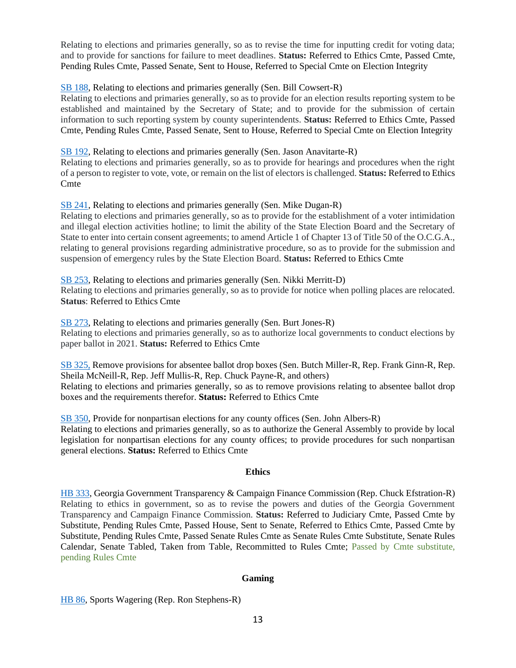Relating to elections and primaries generally, so as to revise the time for inputting credit for voting data; and to provide for sanctions for failure to meet deadlines. **Status:** Referred to Ethics Cmte, Passed Cmte, Pending Rules Cmte, Passed Senate, Sent to House, Referred to Special Cmte on Election Integrity

### [SB 188,](https://www.legis.ga.gov/legislation/59718) Relating to elections and primaries generally (Sen. Bill Cowsert-R)

Relating to elections and primaries generally, so as to provide for an election results reporting system to be established and maintained by the Secretary of State; and to provide for the submission of certain information to such reporting system by county superintendents. **Status:** Referred to Ethics Cmte, Passed Cmte, Pending Rules Cmte, Passed Senate, Sent to House, Referred to Special Cmte on Election Integrity

### [SB 192,](https://www.legis.ga.gov/legislation/59745) Relating to elections and primaries generally (Sen. Jason Anavitarte-R)

Relating to elections and primaries generally, so as to provide for hearings and procedures when the right of a person to register to vote, vote, or remain on the list of electors is challenged. **Status:** Referred to Ethics Cmte

### [SB 241,](https://www.legis.ga.gov/legislation/60009) Relating to elections and primaries generally (Sen. Mike Dugan-R)

Relating to elections and primaries generally, so as to provide for the establishment of a voter intimidation and illegal election activities hotline; to limit the ability of the State Election Board and the Secretary of State to enter into certain consent agreements; to amend Article 1 of Chapter 13 of Title 50 of the O.C.G.A., relating to general provisions regarding administrative procedure, so as to provide for the submission and suspension of emergency rules by the State Election Board. **Status:** Referred to Ethics Cmte

#### [SB 253,](https://www.legis.ga.gov/legislation/60052) Relating to elections and primaries generally (Sen. Nikki Merritt-D) Relating to elections and primaries generally, so as to provide for notice when polling places are relocated. **Status**: Referred to Ethics Cmte

[SB 273,](https://www.legis.ga.gov/legislation/60199) Relating to elections and primaries generally (Sen. Burt Jones-R) Relating to elections and primaries generally, so as to authorize local governments to conduct elections by paper ballot in 2021. **Status:** Referred to Ethics Cmte

[SB 325,](https://www.legis.ga.gov/legislation/61051) Remove provisions for absentee ballot drop boxes (Sen. Butch Miller-R, Rep. Frank Ginn-R, Rep. Sheila McNeill-R, Rep. Jeff Mullis-R, Rep. Chuck Payne-R, and others) Relating to elections and primaries generally, so as to remove provisions relating to absentee ballot drop boxes and the requirements therefor. **Status:** Referred to Ethics Cmte

[SB 350,](https://www.legis.ga.gov/legislation/61200) Provide for nonpartisan elections for any county offices (Sen. John Albers-R) Relating to elections and primaries generally, so as to authorize the General Assembly to provide by local legislation for nonpartisan elections for any county offices; to provide procedures for such nonpartisan general elections. **Status:** Referred to Ethics Cmte

### **Ethics**

<span id="page-12-0"></span>[HB 333,](https://www.legis.ga.gov/legislation/59399) Georgia Government Transparency & Campaign Finance Commission (Rep. Chuck Efstration-R) Relating to ethics in government, so as to revise the powers and duties of the Georgia Government Transparency and Campaign Finance Commission. **Status:** Referred to Judiciary Cmte, Passed Cmte by Substitute, Pending Rules Cmte, Passed House, Sent to Senate, Referred to Ethics Cmte, Passed Cmte by Substitute, Pending Rules Cmte, Passed Senate Rules Cmte as Senate Rules Cmte Substitute, Senate Rules Calendar, Senate Tabled, Taken from Table, Recommitted to Rules Cmte; Passed by Cmte substitute, pending Rules Cmte

### **Gaming**

<span id="page-12-1"></span>[HB 86,](https://www.legis.ga.gov/legislation/58917) Sports Wagering (Rep. Ron Stephens-R)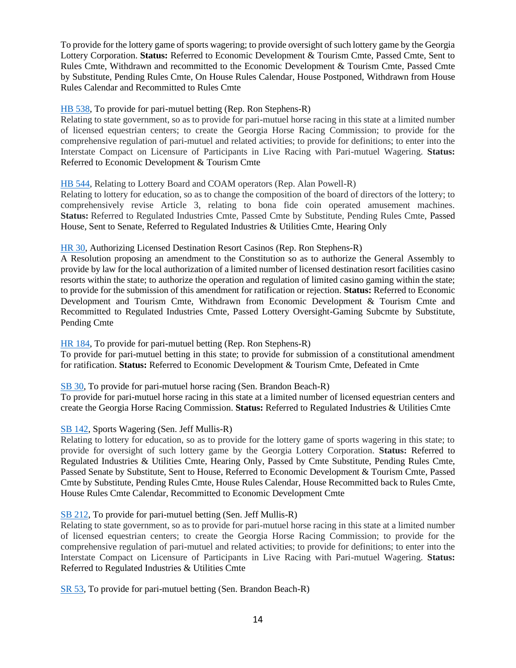To provide for the lottery game of sports wagering; to provide oversight of such lottery game by the Georgia Lottery Corporation. **Status:** Referred to Economic Development & Tourism Cmte, Passed Cmte, Sent to Rules Cmte, Withdrawn and recommitted to the Economic Development & Tourism Cmte, Passed Cmte by Substitute, Pending Rules Cmte, On House Rules Calendar, House Postponed, Withdrawn from House Rules Calendar and Recommitted to Rules Cmte

#### [HB 538,](https://www.legis.ga.gov/legislation/59838) To provide for pari-mutuel betting (Rep. Ron Stephens-R)

Relating to state government, so as to provide for pari-mutuel horse racing in this state at a limited number of licensed equestrian centers; to create the Georgia Horse Racing Commission; to provide for the comprehensive regulation of pari-mutuel and related activities; to provide for definitions; to enter into the Interstate Compact on Licensure of Participants in Live Racing with Pari-mutuel Wagering. **Status:** Referred to Economic Development & Tourism Cmte

#### [HB 544,](https://www.legis.ga.gov/legislation/59852) Relating to Lottery Board and COAM operators (Rep. Alan Powell-R)

Relating to lottery for education, so as to change the composition of the board of directors of the lottery; to comprehensively revise Article 3, relating to bona fide coin operated amusement machines. **Status:** Referred to Regulated Industries Cmte, Passed Cmte by Substitute, Pending Rules Cmte, Passed House, Sent to Senate, Referred to Regulated Industries & Utilities Cmte, Hearing Only

#### [HR 30,](https://www.legis.ga.gov/legislation/58966) Authorizing Licensed Destination Resort Casinos (Rep. Ron Stephens-R)

A Resolution proposing an amendment to the Constitution so as to authorize the General Assembly to provide by law for the local authorization of a limited number of licensed destination resort facilities casino resorts within the state; to authorize the operation and regulation of limited casino gaming within the state; to provide for the submission of this amendment for ratification or rejection. **Status:** Referred to Economic Development and Tourism Cmte, Withdrawn from Economic Development & Tourism Cmte and Recommitted to Regulated Industries Cmte, Passed Lottery Oversight-Gaming Subcmte by Substitute, Pending Cmte

#### [HR 184,](https://www.legis.ga.gov/legislation/59846) To provide for pari-mutuel betting (Rep. Ron Stephens-R)

To provide for pari-mutuel betting in this state; to provide for submission of a constitutional amendment for ratification. **Status:** Referred to Economic Development & Tourism Cmte, Defeated in Cmte

[SB 30,](https://www.legis.ga.gov/legislation/59018) To provide for pari-mutuel horse racing (Sen. Brandon Beach-R)

To provide for pari-mutuel horse racing in this state at a limited number of licensed equestrian centers and create the Georgia Horse Racing Commission. **Status:** Referred to Regulated Industries & Utilities Cmte

#### [SB 142,](https://www.legis.ga.gov/legislation/59534) Sports Wagering (Sen. Jeff Mullis-R)

Relating to lottery for education, so as to provide for the lottery game of sports wagering in this state; to provide for oversight of such lottery game by the Georgia Lottery Corporation. **Status:** Referred to Regulated Industries & Utilities Cmte, Hearing Only, Passed by Cmte Substitute, Pending Rules Cmte, Passed Senate by Substitute, Sent to House, Referred to Economic Development & Tourism Cmte, Passed Cmte by Substitute, Pending Rules Cmte, House Rules Calendar, House Recommitted back to Rules Cmte, House Rules Cmte Calendar, Recommitted to Economic Development Cmte

#### [SB 212,](https://www.legis.ga.gov/legislation/59904) To provide for pari-mutuel betting (Sen. Jeff Mullis-R)

Relating to state government, so as to provide for pari-mutuel horse racing in this state at a limited number of licensed equestrian centers; to create the Georgia Horse Racing Commission; to provide for the comprehensive regulation of pari-mutuel and related activities; to provide for definitions; to enter into the Interstate Compact on Licensure of Participants in Live Racing with Pari-mutuel Wagering. **Status:** Referred to Regulated Industries & Utilities Cmte

[SR 53,](https://www.legis.ga.gov/legislation/59227) To provide for pari-mutuel betting (Sen. Brandon Beach-R)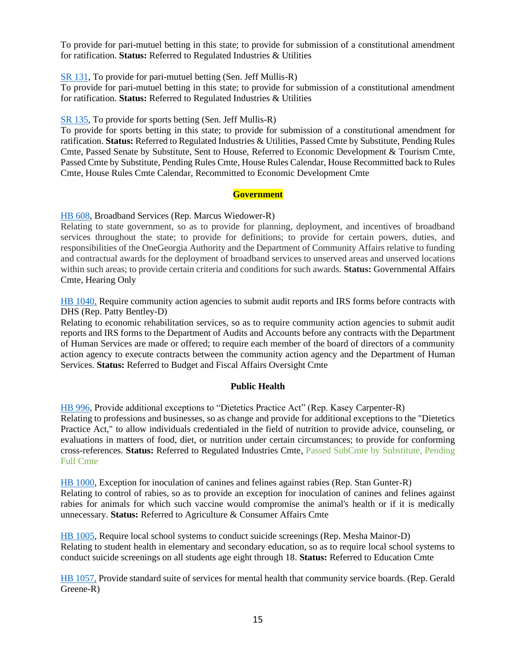To provide for pari-mutuel betting in this state; to provide for submission of a constitutional amendment for ratification. **Status:** Referred to Regulated Industries & Utilities

#### [SR 131,](https://www.legis.ga.gov/legislation/59903) To provide for pari-mutuel betting (Sen. Jeff Mullis-R)

To provide for pari-mutuel betting in this state; to provide for submission of a constitutional amendment for ratification. **Status:** Referred to Regulated Industries & Utilities

#### [SR 135,](https://www.legis.ga.gov/legislation/59914) To provide for sports betting (Sen. Jeff Mullis-R)

To provide for sports betting in this state; to provide for submission of a constitutional amendment for ratification. **Status:** Referred to Regulated Industries & Utilities, Passed Cmte by Substitute, Pending Rules Cmte, Passed Senate by Substitute, Sent to House, Referred to Economic Development & Tourism Cmte, Passed Cmte by Substitute, Pending Rules Cmte, House Rules Calendar, House Recommitted back to Rules Cmte, House Rules Cmte Calendar, Recommitted to Economic Development Cmte

#### **Government**

#### <span id="page-14-0"></span>[HB 608,](https://www.legis.ga.gov/legislation/59983) Broadband Services (Rep. Marcus Wiedower-R)

Relating to state government, so as to provide for planning, deployment, and incentives of broadband services throughout the state; to provide for definitions; to provide for certain powers, duties, and responsibilities of the OneGeorgia Authority and the Department of Community Affairs relative to funding and contractual awards for the deployment of broadband services to unserved areas and unserved locations within such areas; to provide certain criteria and conditions for such awards. **Status:** Governmental Affairs Cmte, Hearing Only

[HB 1040,](https://www.legis.ga.gov/legislation/61391) Require community action agencies to submit audit reports and IRS forms before contracts with DHS (Rep. Patty Bentley-D)

Relating to economic rehabilitation services, so as to require community action agencies to submit audit reports and IRS forms to the Department of Audits and Accounts before any contracts with the Department of Human Services are made or offered; to require each member of the board of directors of a community action agency to execute contracts between the community action agency and the Department of Human Services. **Status:** Referred to Budget and Fiscal Affairs Oversight Cmte

#### **Public Health**

<span id="page-14-1"></span>[HB 996,](https://www.legis.ga.gov/legislation/61326) Provide additional exceptions to "Dietetics Practice Act" (Rep. Kasey Carpenter-R) Relating to professions and businesses, so as change and provide for additional exceptions to the "Dietetics Practice Act," to allow individuals credentialed in the field of nutrition to provide advice, counseling, or evaluations in matters of food, diet, or nutrition under certain circumstances; to provide for conforming cross-references. **Status:** Referred to Regulated Industries Cmte, Passed SubCmte by Substitute, Pending Full Cmte

[HB 1000,](https://www.legis.ga.gov/legislation/61330) Exception for inoculation of canines and felines against rabies (Rep. Stan Gunter-R) Relating to control of rabies, so as to provide an exception for inoculation of canines and felines against rabies for animals for which such vaccine would compromise the animal's health or if it is medically unnecessary. **Status:** Referred to Agriculture & Consumer Affairs Cmte

[HB 1005,](https://www.legis.ga.gov/legislation/61335) Require local school systems to conduct suicide screenings (Rep. Mesha Mainor-D) Relating to student health in elementary and secondary education, so as to require local school systems to conduct suicide screenings on all students age eight through 18. **Status:** Referred to Education Cmte

[HB 1057,](https://www.legis.ga.gov/legislation/61410) Provide standard suite of services for mental health that community service boards. (Rep. Gerald Greene-R)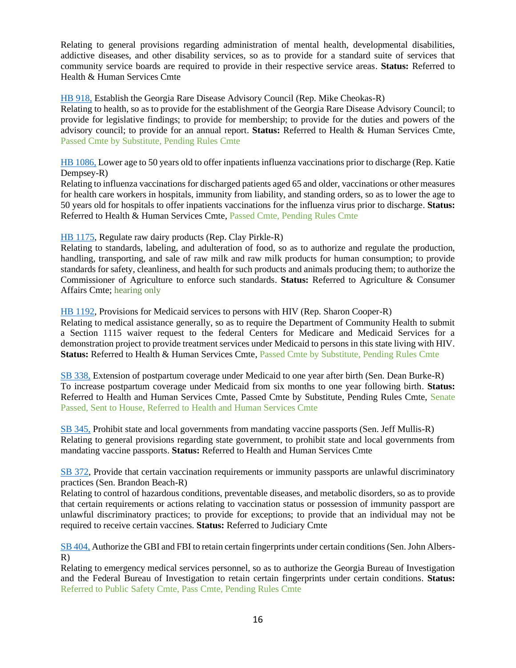Relating to general provisions regarding administration of mental health, developmental disabilities, addictive diseases, and other disability services, so as to provide for a standard suite of services that community service boards are required to provide in their respective service areas. **Status:** Referred to Health & Human Services Cmte

#### [HB 918,](https://www.legis.ga.gov/legislation/61144) Establish the Georgia Rare Disease Advisory Council (Rep. Mike Cheokas-R)

Relating to health, so as to provide for the establishment of the Georgia Rare Disease Advisory Council; to provide for legislative findings; to provide for membership; to provide for the duties and powers of the advisory council; to provide for an annual report. **Status:** Referred to Health & Human Services Cmte, Passed Cmte by Substitute, Pending Rules Cmte

[HB 1086,](https://www.legis.ga.gov/legislation/61479) Lower age to 50 years old to offer inpatients influenza vaccinations prior to discharge (Rep. Katie Dempsey-R)

Relating to influenza vaccinations for discharged patients aged 65 and older, vaccinations or other measures for health care workers in hospitals, immunity from liability, and standing orders, so as to lower the age to 50 years old for hospitals to offer inpatients vaccinations for the influenza virus prior to discharge. **Status:**  Referred to Health & Human Services Cmte, Passed Cmte, Pending Rules Cmte

#### [HB 1175,](https://www.legis.ga.gov/legislation/61674) Regulate raw dairy products (Rep. Clay Pirkle-R)

Relating to standards, labeling, and adulteration of food, so as to authorize and regulate the production, handling, transporting, and sale of raw milk and raw milk products for human consumption; to provide standards for safety, cleanliness, and health for such products and animals producing them; to authorize the Commissioner of Agriculture to enforce such standards. **Status:** Referred to Agriculture & Consumer Affairs Cmte; hearing only

[HB 1192,](https://www.legis.ga.gov/legislation/61694) Provisions for Medicaid services to persons with HIV (Rep. Sharon Cooper-R)

Relating to medical assistance generally, so as to require the Department of Community Health to submit a Section 1115 waiver request to the federal Centers for Medicare and Medicaid Services for a demonstration project to provide treatment services under Medicaid to persons in this state living with HIV. **Status:** Referred to Health & Human Services Cmte, Passed Cmte by Substitute, Pending Rules Cmte

[SB 338,](https://www.legis.ga.gov/legislation/61152) Extension of postpartum coverage under Medicaid to one year after birth (Sen. Dean Burke-R) To increase postpartum coverage under Medicaid from six months to one year following birth. **Status:**  Referred to Health and Human Services Cmte, Passed Cmte by Substitute, Pending Rules Cmte, Senate Passed, Sent to House, Referred to Health and Human Services Cmte

[SB 345,](https://www.legis.ga.gov/legislation/61178) Prohibit state and local governments from mandating vaccine passports (Sen. Jeff Mullis-R) Relating to general provisions regarding state government, to prohibit state and local governments from mandating vaccine passports. **Status:** Referred to Health and Human Services Cmte

[SB 372,](https://www.legis.ga.gov/legislation/61303) Provide that certain vaccination requirements or immunity passports are unlawful discriminatory practices (Sen. Brandon Beach-R)

Relating to control of hazardous conditions, preventable diseases, and metabolic disorders, so as to provide that certain requirements or actions relating to vaccination status or possession of immunity passport are unlawful discriminatory practices; to provide for exceptions; to provide that an individual may not be required to receive certain vaccines. **Status:** Referred to Judiciary Cmte

[SB 404,](https://www.legis.ga.gov/legislation/61503) Authorize the GBI and FBI to retain certain fingerprints under certain conditions (Sen. John Albers-R)

Relating to emergency medical services personnel, so as to authorize the Georgia Bureau of Investigation and the Federal Bureau of Investigation to retain certain fingerprints under certain conditions. **Status:**  Referred to Public Safety Cmte, Pass Cmte, Pending Rules Cmte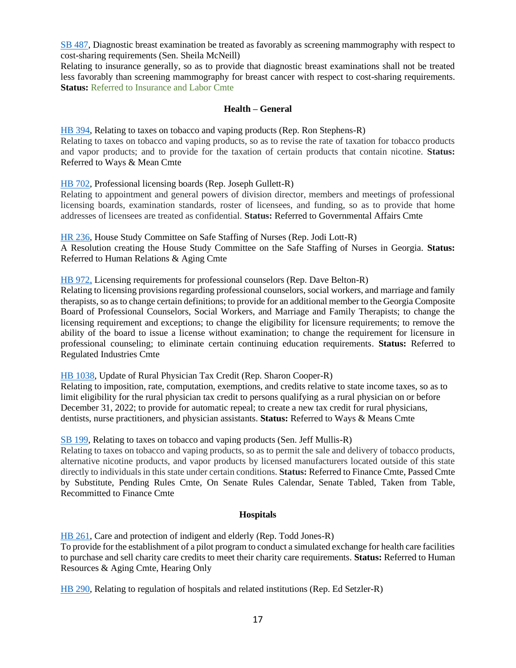[SB 487,](https://www.legis.ga.gov/legislation/61977) Diagnostic breast examination be treated as favorably as screening mammography with respect to cost-sharing requirements (Sen. Sheila McNeill)

Relating to insurance generally, so as to provide that diagnostic breast examinations shall not be treated less favorably than screening mammography for breast cancer with respect to cost-sharing requirements. **Status:** Referred to Insurance and Labor Cmte

#### **Health – General**

<span id="page-16-0"></span>[HB 394,](https://www.legis.ga.gov/legislation/59549) Relating to taxes on tobacco and vaping products (Rep. Ron Stephens-R) Relating to taxes on tobacco and vaping products, so as to revise the rate of taxation for tobacco products and vapor products; and to provide for the taxation of certain products that contain nicotine. **Status:** Referred to Ways & Mean Cmte

#### [HB 702,](https://www.legis.ga.gov/legislation/60230) Professional licensing boards (Rep. Joseph Gullett-R)

Relating to appointment and general powers of division director, members and meetings of professional licensing boards, examination standards, roster of licensees, and funding, so as to provide that home addresses of licensees are treated as confidential. **Status:** Referred to Governmental Affairs Cmte

[HR 236,](https://www.legis.ga.gov/legislation/60093) House Study Committee on Safe Staffing of Nurses (Rep. Jodi Lott-R)

A Resolution creating the House Study Committee on the Safe Staffing of Nurses in Georgia. **Status:**  Referred to Human Relations & Aging Cmte

[HB 972,](https://www.legis.ga.gov/legislation/61248) Licensing requirements for professional counselors (Rep. Dave Belton-R)

Relating to licensing provisions regarding professional counselors, social workers, and marriage and family therapists, so as to change certain definitions; to provide for an additional member to the Georgia Composite Board of Professional Counselors, Social Workers, and Marriage and Family Therapists; to change the licensing requirement and exceptions; to change the eligibility for licensure requirements; to remove the ability of the board to issue a license without examination; to change the requirement for licensure in professional counseling; to eliminate certain continuing education requirements. **Status:** Referred to Regulated Industries Cmte

[HB 1038,](https://www.legis.ga.gov/legislation/61389) Update of Rural Physician Tax Credit (Rep. Sharon Cooper-R)

Relating to imposition, rate, computation, exemptions, and credits relative to state income taxes, so as to limit eligibility for the rural physician tax credit to persons qualifying as a rural physician on or before December 31, 2022; to provide for automatic repeal; to create a new tax credit for rural physicians, dentists, nurse practitioners, and physician assistants. **Status:** Referred to Ways & Means Cmte

[SB 199,](https://www.legis.ga.gov/legislation/59755) Relating to taxes on tobacco and vaping products (Sen. Jeff Mullis-R)

Relating to taxes on tobacco and vaping products, so as to permit the sale and delivery of tobacco products, alternative nicotine products, and vapor products by licensed manufacturers located outside of this state directly to individuals in this state under certain conditions. **Status:** Referred to Finance Cmte, Passed Cmte by Substitute, Pending Rules Cmte, On Senate Rules Calendar, Senate Tabled, Taken from Table, Recommitted to Finance Cmte

#### **Hospitals**

<span id="page-16-1"></span>[HB 261,](https://www.legis.ga.gov/legislation/59255) Care and protection of indigent and elderly (Rep. Todd Jones-R) To provide for the establishment of a pilot program to conduct a simulated exchange for health care facilities to purchase and sell charity care credits to meet their charity care requirements. **Status:** Referred to Human Resources & Aging Cmte, Hearing Only

[HB 290,](https://www.legis.ga.gov/legislation/59302) Relating to regulation of hospitals and related institutions (Rep. Ed Setzler-R)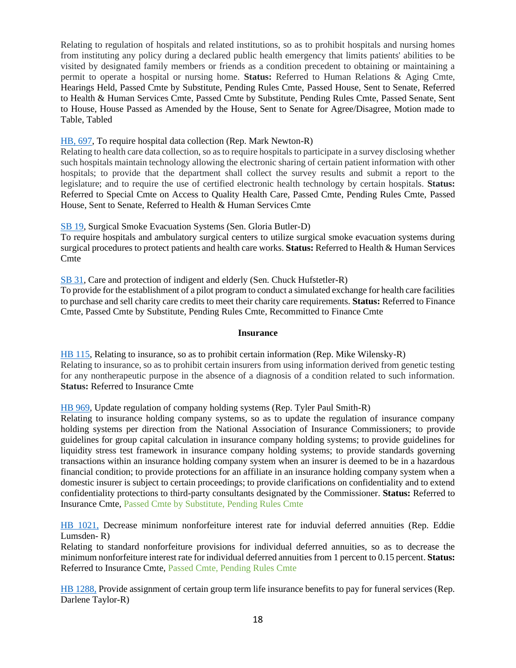Relating to regulation of hospitals and related institutions, so as to prohibit hospitals and nursing homes from instituting any policy during a declared public health emergency that limits patients' abilities to be visited by designated family members or friends as a condition precedent to obtaining or maintaining a permit to operate a hospital or nursing home. **Status:** Referred to Human Relations & Aging Cmte, Hearings Held, Passed Cmte by Substitute, Pending Rules Cmte, Passed House, Sent to Senate, Referred to Health & Human Services Cmte, Passed Cmte by Substitute, Pending Rules Cmte, Passed Senate, Sent to House, House Passed as Amended by the House, Sent to Senate for Agree/Disagree, Motion made to Table, Tabled

### [HB, 697,](https://www.legis.ga.gov/legislation/60225) To require hospital data collection (Rep. Mark Newton-R)

Relating to health care data collection, so as to require hospitals to participate in a survey disclosing whether such hospitals maintain technology allowing the electronic sharing of certain patient information with other hospitals; to provide that the department shall collect the survey results and submit a report to the legislature; and to require the use of certified electronic health technology by certain hospitals. **Status:**  Referred to Special Cmte on Access to Quality Health Care, Passed Cmte, Pending Rules Cmte, Passed House, Sent to Senate, Referred to Health & Human Services Cmte

[SB 19,](https://www.legis.ga.gov/legislation/58941) Surgical Smoke Evacuation Systems (Sen. Gloria Butler-D)

To require hospitals and ambulatory surgical centers to utilize surgical smoke evacuation systems during surgical procedures to protect patients and health care works. **Status:** Referred to Health & Human Services **C**mte

[SB 31,](https://www.legis.ga.gov/legislation/59019) Care and protection of indigent and elderly (Sen. Chuck Hufstetler-R)

To provide for the establishment of a pilot program to conduct a simulated exchange for health care facilities to purchase and sell charity care credits to meet their charity care requirements. **Status:** Referred to Finance Cmte, Passed Cmte by Substitute, Pending Rules Cmte, Recommitted to Finance Cmte

#### **Insurance**

<span id="page-17-0"></span>[HB 115,](https://www.legis.ga.gov/legislation/58962) Relating to insurance, so as to prohibit certain information (Rep. Mike Wilensky-R) Relating to insurance, so as to prohibit certain insurers from using information derived from genetic testing for any nontherapeutic purpose in the absence of a diagnosis of a condition related to such information. **Status:** Referred to Insurance Cmte

[HB 969,](https://www.legis.ga.gov/legislation/61245) Update regulation of company holding systems (Rep. Tyler Paul Smith-R)

Relating to insurance holding company systems, so as to update the regulation of insurance company holding systems per direction from the National Association of Insurance Commissioners; to provide guidelines for group capital calculation in insurance company holding systems; to provide guidelines for liquidity stress test framework in insurance company holding systems; to provide standards governing transactions within an insurance holding company system when an insurer is deemed to be in a hazardous financial condition; to provide protections for an affiliate in an insurance holding company system when a domestic insurer is subject to certain proceedings; to provide clarifications on confidentiality and to extend confidentiality protections to third-party consultants designated by the Commissioner. **Status:** Referred to Insurance Cmte, Passed Cmte by Substitute, Pending Rules Cmte

[HB 1021,](https://www.legis.ga.gov/legislation/61360) Decrease minimum nonforfeiture interest rate for induvial deferred annuities (Rep. Eddie Lumsden- R)

Relating to standard nonforfeiture provisions for individual deferred annuities, so as to decrease the minimum nonforfeiture interest rate for individual deferred annuities from 1 percent to 0.15 percent. **Status:**  Referred to Insurance Cmte, Passed Cmte, Pending Rules Cmte

[HB 1288,](https://www.legis.ga.gov/legislation/61906) Provide assignment of certain group term life insurance benefits to pay for funeral services (Rep. Darlene Taylor-R)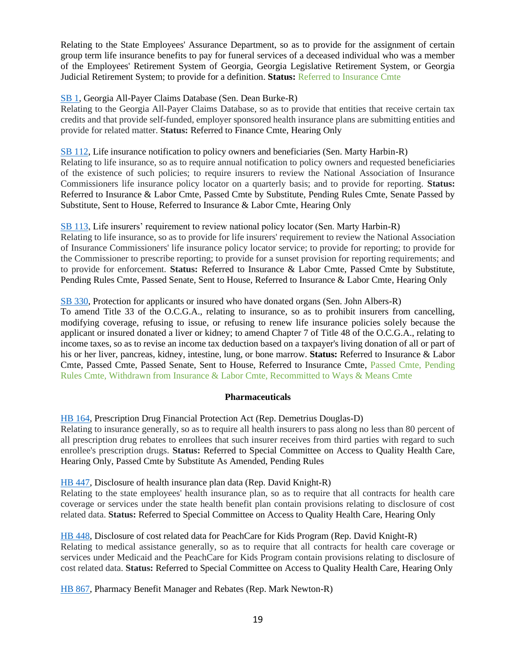Relating to the State Employees' Assurance Department, so as to provide for the assignment of certain group term life insurance benefits to pay for funeral services of a deceased individual who was a member of the Employees' Retirement System of Georgia, Georgia Legislative Retirement System, or Georgia Judicial Retirement System; to provide for a definition. **Status:** Referred to Insurance Cmte

### [SB 1,](https://www.legis.ga.gov/legislation/58869) Georgia All-Payer Claims Database (Sen. Dean Burke-R)

Relating to the Georgia All-Payer Claims Database, so as to provide that entities that receive certain tax credits and that provide self-funded, employer sponsored health insurance plans are submitting entities and provide for related matter. **Status:** Referred to Finance Cmte, Hearing Only

#### [SB 112,](https://www.legis.ga.gov/legislation/59454) Life insurance notification to policy owners and beneficiaries (Sen. Marty Harbin-R)

Relating to life insurance, so as to require annual notification to policy owners and requested beneficiaries of the existence of such policies; to require insurers to review the National Association of Insurance Commissioners life insurance policy locator on a quarterly basis; and to provide for reporting. **Status:** Referred to Insurance & Labor Cmte, Passed Cmte by Substitute, Pending Rules Cmte, Senate Passed by Substitute, Sent to House, Referred to Insurance & Labor Cmte, Hearing Only

#### [SB 113,](https://www.legis.ga.gov/legislation/59453) Life insurers' requirement to review national policy locator (Sen. Marty Harbin-R)

Relating to life insurance, so as to provide for life insurers' requirement to review the National Association of Insurance Commissioners' life insurance policy locator service; to provide for reporting; to provide for the Commissioner to prescribe reporting; to provide for a sunset provision for reporting requirements; and to provide for enforcement. **Status:** Referred to Insurance & Labor Cmte, Passed Cmte by Substitute, Pending Rules Cmte, Passed Senate, Sent to House, Referred to Insurance & Labor Cmte, Hearing Only

#### [SB 330,](https://www.legis.ga.gov/legislation/61078) Protection for applicants or insured who have donated organs (Sen. John Albers-R)

To amend Title 33 of the O.C.G.A., relating to insurance, so as to prohibit insurers from cancelling, modifying coverage, refusing to issue, or refusing to renew life insurance policies solely because the applicant or insured donated a liver or kidney; to amend Chapter 7 of Title 48 of the O.C.G.A., relating to income taxes, so as to revise an income tax deduction based on a taxpayer's living donation of all or part of his or her liver, pancreas, kidney, intestine, lung, or bone marrow. **Status:** Referred to Insurance & Labor Cmte, Passed Cmte, Passed Senate, Sent to House, Referred to Insurance Cmte, Passed Cmte, Pending Rules Cmte, Withdrawn from Insurance & Labor Cmte, Recommitted to Ways & Means Cmte

#### **Pharmaceuticals**

<span id="page-18-0"></span>[HB 164,](https://www.legis.ga.gov/legislation/59086) Prescription Drug Financial Protection Act (Rep. Demetrius Douglas-D)

Relating to insurance generally, so as to require all health insurers to pass along no less than 80 percent of all prescription drug rebates to enrollees that such insurer receives from third parties with regard to such enrollee's prescription drugs. **Status:** Referred to Special Committee on Access to Quality Health Care, Hearing Only, Passed Cmte by Substitute As Amended, Pending Rules

[HB 447,](https://www.legis.ga.gov/legislation/59642) Disclosure of health insurance plan data (Rep. David Knight-R)

Relating to the state employees' health insurance plan, so as to require that all contracts for health care coverage or services under the state health benefit plan contain provisions relating to disclosure of cost related data. **Status:** Referred to Special Committee on Access to Quality Health Care, Hearing Only

#### [HB 448,](https://www.legis.ga.gov/legislation/59643) Disclosure of cost related data for PeachCare for Kids Program (Rep. David Knight-R) Relating to medical assistance generally, so as to require that all contracts for health care coverage or services under Medicaid and the PeachCare for Kids Program contain provisions relating to disclosure of

cost related data. **Status:** Referred to Special Committee on Access to Quality Health Care, Hearing Only

[HB 867,](https://www.legis.ga.gov/legislation/61050) Pharmacy Benefit Manager and Rebates (Rep. Mark Newton-R)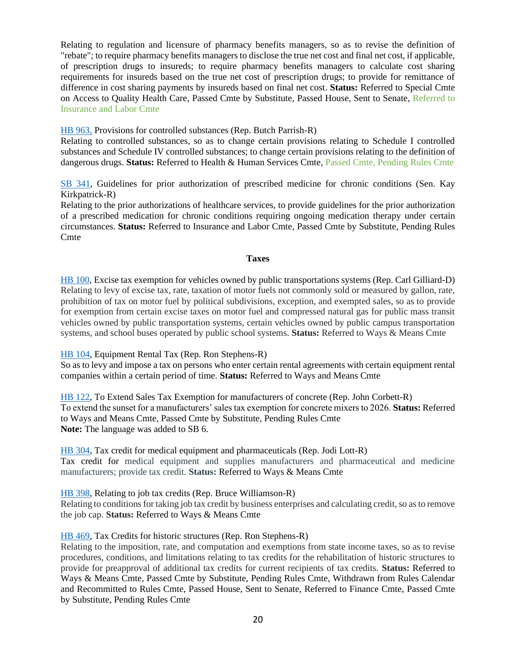Relating to regulation and licensure of pharmacy benefits managers, so as to revise the definition of "rebate"; to require pharmacy benefits managers to disclose the true net cost and final net cost, if applicable, of prescription drugs to insureds; to require pharmacy benefits managers to calculate cost sharing requirements for insureds based on the true net cost of prescription drugs; to provide for remittance of difference in cost sharing payments by insureds based on final net cost. **Status:** Referred to Special Cmte on Access to Quality Health Care, Passed Cmte by Substitute, Passed House, Sent to Senate, Referred to Insurance and Labor Cmte

[HB 963,](https://www.legis.ga.gov/legislation/61239) Provisions for controlled substances (Rep. Butch Parrish-R)

Relating to controlled substances, so as to change certain provisions relating to Schedule I controlled substances and Schedule IV controlled substances; to change certain provisions relating to the definition of dangerous drugs. **Status:** Referred to Health & Human Services Cmte, Passed Cmte, Pending Rules Cmte

[SB 341,](https://www.legis.ga.gov/legislation/61156) Guidelines for prior authorization of prescribed medicine for chronic conditions (Sen. Kay Kirkpatrick-R)

Relating to the prior authorizations of healthcare services, to provide guidelines for the prior authorization of a prescribed medication for chronic conditions requiring ongoing medication therapy under certain circumstances. **Status:** Referred to Insurance and Labor Cmte, Passed Cmte by Substitute, Pending Rules Cmte

#### **Taxes**

<span id="page-19-0"></span>[HB 100,](https://www.legis.ga.gov/legislation/58944) Excise tax exemption for vehicles owned by public transportations systems (Rep. Carl Gilliard-D) Relating to levy of excise tax, rate, taxation of motor fuels not commonly sold or measured by gallon, rate, prohibition of tax on motor fuel by political subdivisions, exception, and exempted sales, so as to provide for exemption from certain excise taxes on motor fuel and compressed natural gas for public mass transit vehicles owned by public transportation systems, certain vehicles owned by public campus transportation systems, and school buses operated by public school systems. **Status:** Referred to Ways & Means Cmte

#### [HB 104,](https://www.legis.ga.gov/legislation/58951) Equipment Rental Tax (Rep. Ron Stephens-R)

So as to levy and impose a tax on persons who enter certain rental agreements with certain equipment rental companies within a certain period of time. **Status:** Referred to Ways and Means Cmte

[HB 122,](https://www.legis.ga.gov/legislation/58990) To Extend Sales Tax Exemption for manufacturers of concrete (Rep. John Corbett-R) To extend the sunset for a manufacturers' sales tax exemption for concrete mixers to 2026. **Status:** Referred to Ways and Means Cmte, Passed Cmte by Substitute, Pending Rules Cmte **Note:** The language was added to SB 6.

[HB 304,](https://www.legis.ga.gov/legislation/59345) Tax credit for medical equipment and pharmaceuticals (Rep. Jodi Lott-R) Tax credit for medical equipment and supplies manufacturers and pharmaceutical and medicine manufacturers; provide tax credit. **Status:** Referred to Ways & Means Cmte

[HB 398,](https://www.legis.ga.gov/legislation/59559) Relating to job tax credits (Rep. Bruce Williamson-R)

Relating to conditions for taking job tax credit by business enterprises and calculating credit, so as to remove the job cap. **Status:** Referred to Ways & Means Cmte

#### [HB 469,](https://www.legis.ga.gov/legislation/59705) Tax Credits for historic structures (Rep. Ron Stephens-R)

Relating to the imposition, rate, and computation and exemptions from state income taxes, so as to revise procedures, conditions, and limitations relating to tax credits for the rehabilitation of historic structures to provide for preapproval of additional tax credits for current recipients of tax credits. **Status:** Referred to Ways & Means Cmte, Passed Cmte by Substitute, Pending Rules Cmte, Withdrawn from Rules Calendar and Recommitted to Rules Cmte, Passed House, Sent to Senate, Referred to Finance Cmte, Passed Cmte by Substitute, Pending Rules Cmte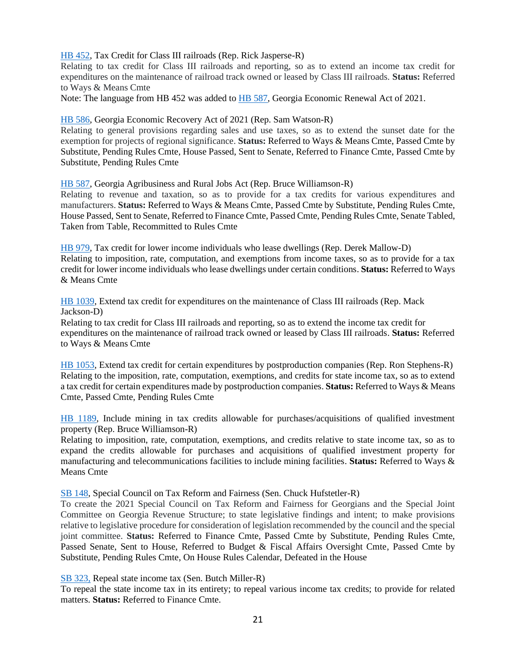[HB 452,](https://www.legis.ga.gov/legislation/59647) Tax Credit for Class III railroads (Rep. Rick Jasperse-R)

Relating to tax credit for Class III railroads and reporting, so as to extend an income tax credit for expenditures on the maintenance of railroad track owned or leased by Class III railroads. **Status:** Referred to Ways & Means Cmte

Note: The language from HB 452 was added to [HB 587,](https://www.legis.ga.gov/legislation/59948) Georgia Economic Renewal Act of 2021.

[HB 586,](https://www.legis.ga.gov/legislation/59947) Georgia Economic Recovery Act of 2021 (Rep. Sam Watson-R)

Relating to general provisions regarding sales and use taxes, so as to extend the sunset date for the exemption for projects of regional significance. **Status:** Referred to Ways & Means Cmte, Passed Cmte by Substitute, Pending Rules Cmte, House Passed, Sent to Senate, Referred to Finance Cmte, Passed Cmte by Substitute, Pending Rules Cmte

[HB 587,](https://www.legis.ga.gov/legislation/59948) Georgia Agribusiness and Rural Jobs Act (Rep. Bruce Williamson-R)

Relating to revenue and taxation, so as to provide for a tax credits for various expenditures and manufacturers. **Status:** Referred to Ways & Means Cmte, Passed Cmte by Substitute, Pending Rules Cmte, House Passed, Sent to Senate, Referred to Finance Cmte, Passed Cmte, Pending Rules Cmte, Senate Tabled, Taken from Table, Recommitted to Rules Cmte

[HB 979,](https://www.legis.ga.gov/legislation/61255) Tax credit for lower income individuals who lease dwellings (Rep. Derek Mallow-D) Relating to imposition, rate, computation, and exemptions from income taxes, so as to provide for a tax credit for lower income individuals who lease dwellings under certain conditions. **Status:** Referred to Ways & Means Cmte

[HB 1039,](https://www.legis.ga.gov/legislation/61390) Extend tax credit for expenditures on the maintenance of Class III railroads (Rep. Mack Jackson-D)

Relating to tax credit for Class III railroads and reporting, so as to extend the income tax credit for expenditures on the maintenance of railroad track owned or leased by Class III railroads. **Status:** Referred to Ways & Means Cmte

[HB 1053,](https://www.legis.ga.gov/legislation/61406) Extend tax credit for certain expenditures by postproduction companies (Rep. Ron Stephens-R) Relating to the imposition, rate, computation, exemptions, and credits for state income tax, so as to extend a tax credit for certain expenditures made by postproduction companies. **Status:** Referred to Ways & Means Cmte, Passed Cmte, Pending Rules Cmte

[HB 1189,](https://www.legis.ga.gov/legislation/61691) Include mining in tax credits allowable for purchases/acquisitions of qualified investment property (Rep. Bruce Williamson-R)

Relating to imposition, rate, computation, exemptions, and credits relative to state income tax, so as to expand the credits allowable for purchases and acquisitions of qualified investment property for manufacturing and telecommunications facilities to include mining facilities. **Status:** Referred to Ways & Means Cmte

[SB 148,](https://www.legis.ga.gov/legislation/59556) Special Council on Tax Reform and Fairness (Sen. Chuck Hufstetler-R)

To create the 2021 Special Council on Tax Reform and Fairness for Georgians and the Special Joint Committee on Georgia Revenue Structure; to state legislative findings and intent; to make provisions relative to legislative procedure for consideration of legislation recommended by the council and the special joint committee. **Status:** Referred to Finance Cmte, Passed Cmte by Substitute, Pending Rules Cmte, Passed Senate, Sent to House, Referred to Budget & Fiscal Affairs Oversight Cmte, Passed Cmte by Substitute, Pending Rules Cmte, On House Rules Calendar, Defeated in the House

[SB 323,](https://www.legis.ga.gov/legislation/60971) Repeal state income tax (Sen. Butch Miller-R)

To repeal the state income tax in its entirety; to repeal various income tax credits; to provide for related matters. **Status:** Referred to Finance Cmte.